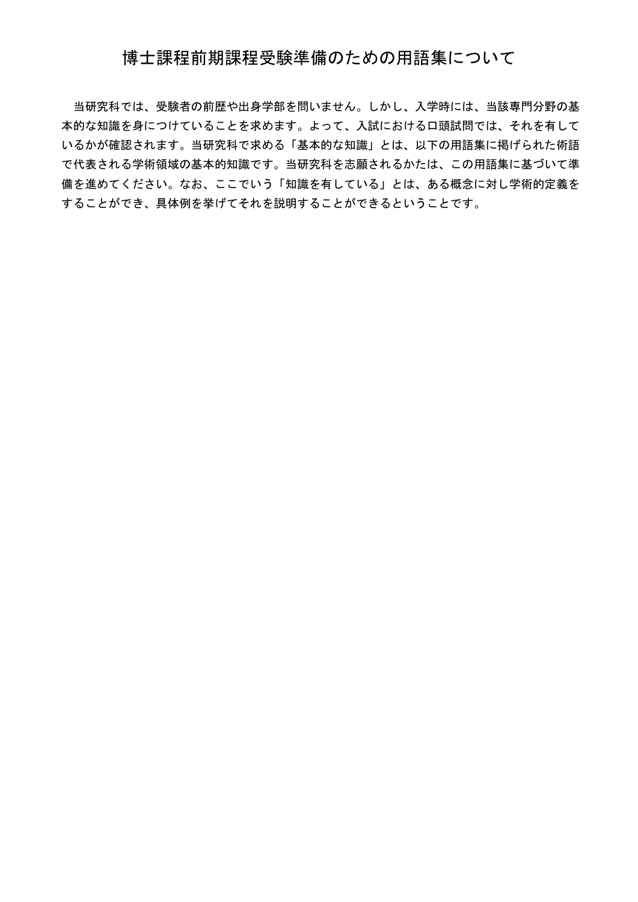## 博士課程前期課程受験準備のための用語集について

当研究科では、受験者の前歴や出身学部を問いません。しかし、入学時には、当該専門分野の基 本的な知識を身につけていることを求めます。よって、入試における口頭試問では、それを有して いるかが確認されます。当研究科で求める「基本的な知識」とは、以下の用語集に掲げられた術語 で代表される学術領域の基本的知識です。当研究科を志願されるかたは、この用語集に基づいて準 備を進めてください。なお、ここでいう「知識を有している」とは、ある概念に対し学術的定義を することができ、具体例を挙げてそれを説明することができるということです。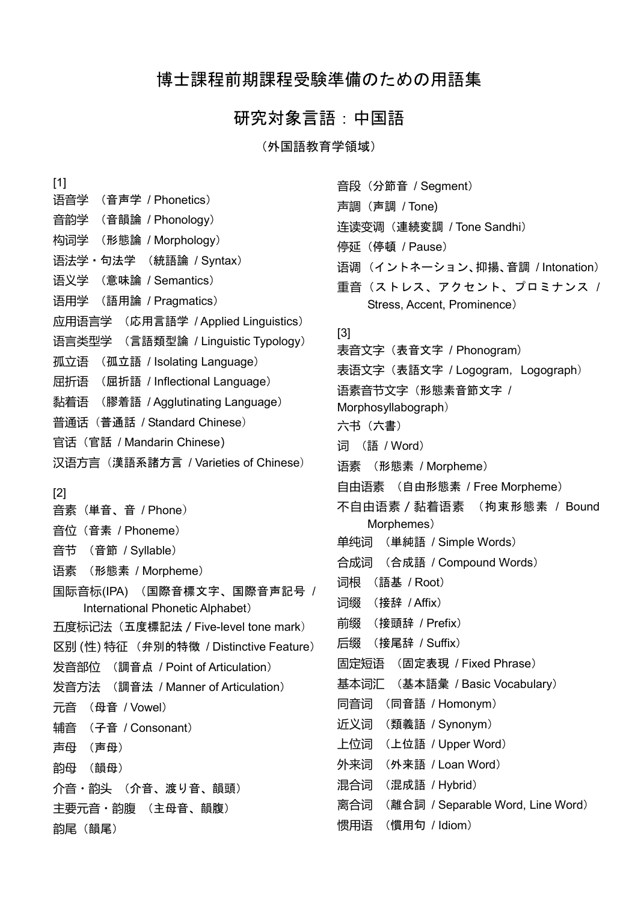## 博士課程前期課程受験準備のための用語集

## 研究対象言語:中国語

(外国語教育学領域)

| $[1]$                                   | 音段 (分節音 / Segment)                       |
|-----------------------------------------|------------------------------------------|
| 语音学<br>(音声学 / Phonetics)                | 声調 (声調 / Tone)                           |
| 音韵学<br>(音韻論 / Phonology)                | 连读变调 (連続変調 / Tone Sandhi)                |
| 构词学<br>(形態論 / Morphology)               | 停延 (停頓 / Pause)                          |
| 语法学・句法学<br>(統語論/Syntax)                 | 语调(イントネーション、抑揚、音調 / Intonation)          |
| 语义学<br>(意味論 / Semantics)                | 重音(ストレス、アクセント、プロミナンス /                   |
| 语用学<br>(語用論 / Pragmatics)               | Stress, Accent, Prominence)              |
| 应用语言学<br>(応用言語学/Applied Linguistics)    |                                          |
| (言語類型論/Linguistic Typology)<br>语言类型学    | $[3]$<br>表音文字(表音文字 / Phonogram)          |
| 孤立语<br>(孤立語 / Isolating Language)       | 表语文字(表語文字 / Logogram, Logograph)         |
| 屈折语<br>(屈折語 / Inflectional Language)    | 语素音节文字 (形態素音節文字 /                        |
| 黏着语<br>(膠着語/Agglutinating Language)     | Morphosyllabograph)                      |
| 普通话(普通話 / Standard Chinese)             | 六书(六書)                                   |
| 官话 (官話 / Mandarin Chinese)              | 词<br>(語 / Word)                          |
| 汉语方言(漢語系諸方言 / Varieties of Chinese)     | 语素<br>(形態素 / Morpheme)                   |
| [2]                                     | 自由语素 (自由形態素/Free Morpheme)               |
| (単音、音 / Phone)<br>音素                    | 不自由语素 / 黏着语素<br>(拘束形態素 / Bound           |
| 音位 (音素 / Phoneme)                       | Morphemes)                               |
| 音节<br>(音節 / Syllable)                   | (単純語 / Simple Words)<br>单纯词              |
| (形態素 / Morpheme)<br>语素                  | 合成词<br>(合成語/Compound Words)              |
| 国际音标(IPA)                               | (語基 / Root)<br>词根                        |
| International Phonetic Alphabet)        | 词缀<br>(接辞 / Affix)                       |
| 五度标记法(五度標記法 / Five-level tone mark)     | 前缀<br>(接頭辞 / Prefix)                     |
| 区别 (性) 特征 (弁別的特徵 / Distinctive Feature) | (接尾辞 / Suffix)<br>后缀                     |
| (調音点 / Point of Articulation)<br>发音部位   | 固定短语<br>(固定表現 / Fixed Phrase)            |
| 发音方法 (調音法 / Manner of Articulation)     | 基本词汇 (基本語彙 / Basic Vocabulary)           |
| 元音<br>(母音 / Vowel)                      | 同音词<br>(同音語 / Homonym)                   |
| 辅音<br>(子音 / Consonant)                  | 近义词<br>(類義語 / Synonym)                   |
| 声母<br>(声母)                              | 上位词<br>(上位語 / Upper Word)                |
| 韵母<br>(韻母)                              | 外来词<br>(外来語 / Loan Word)                 |
| 介音・韵头 (介音、渡り音、韻頭)                       | (混成語 / Hybrid)<br>混合词                    |
| 主要元音・韵腹 (主母音、韻腹)                        | (離合詞 / Separable Word, Line Word)<br>离合词 |
| 韵尾(韻尾)                                  | (慣用句 / Idiom)<br>惯用语                     |
|                                         |                                          |